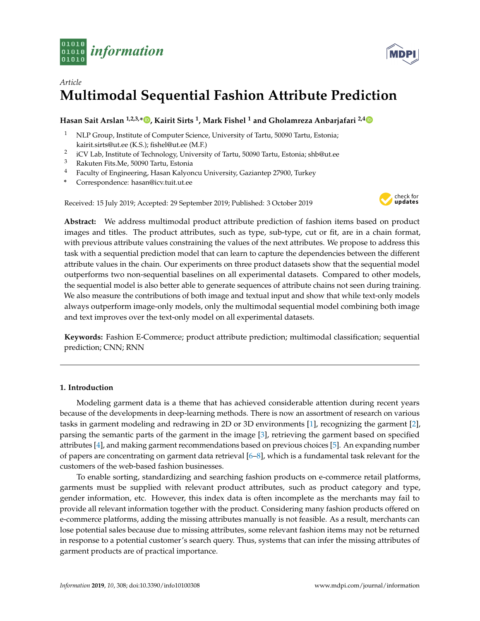



# *Article* **Multimodal Sequential Fashion Attribute Prediction**

# **Hasan Sait Arslan 1,2,3,\* [,](https://orcid.org/0000-0001-6626-9772) Kairit Sirts <sup>1</sup> , Mark Fishel <sup>1</sup> and Gholamreza Anbarjafari 2,[4](https://orcid.org/0000-0001-8460-5717)**

- <sup>1</sup> NLP Group, Institute of Computer Science, University of Tartu, 50090 Tartu, Estonia; kairit.sirts@ut.ee (K.S.); fishel@ut.ee (M.F.)
- 2 iCV Lab, Institute of Technology, University of Tartu, 50090 Tartu, Estonia; shb@ut.ee
- <sup>3</sup> Rakuten Fits.Me, 50090 Tartu, Estonia<br><sup>4</sup> Eaculty of Engineering Hasan Kalvon
- <sup>4</sup> Faculty of Engineering, Hasan Kalyoncu University, Gaziantep 27900, Turkey
- **\*** Correspondence: hasan@icv.tuit.ut.ee

Received: 15 July 2019; Accepted: 29 September 2019; Published: 3 October 2019



**Abstract:** We address multimodal product attribute prediction of fashion items based on product images and titles. The product attributes, such as type, sub-type, cut or fit, are in a chain format, with previous attribute values constraining the values of the next attributes. We propose to address this task with a sequential prediction model that can learn to capture the dependencies between the different attribute values in the chain. Our experiments on three product datasets show that the sequential model outperforms two non-sequential baselines on all experimental datasets. Compared to other models, the sequential model is also better able to generate sequences of attribute chains not seen during training. We also measure the contributions of both image and textual input and show that while text-only models always outperform image-only models, only the multimodal sequential model combining both image and text improves over the text-only model on all experimental datasets.

**Keywords:** Fashion E-Commerce; product attribute prediction; multimodal classification; sequential prediction; CNN; RNN

# **1. Introduction**

Modeling garment data is a theme that has achieved considerable attention during recent years because of the developments in deep-learning methods. There is now an assortment of research on various tasks in garment modeling and redrawing in 2D or 3D environments [\[1\]](#page-19-0), recognizing the garment [\[2\]](#page-19-1), parsing the semantic parts of the garment in the image [\[3\]](#page-19-2), retrieving the garment based on specified attributes [\[4\]](#page-19-3), and making garment recommendations based on previous choices [\[5\]](#page-19-4). An expanding number of papers are concentrating on garment data retrieval [\[6–](#page-19-5)[8\]](#page-19-6), which is a fundamental task relevant for the customers of the web-based fashion businesses.

To enable sorting, standardizing and searching fashion products on e-commerce retail platforms, garments must be supplied with relevant product attributes, such as product category and type, gender information, etc. However, this index data is often incomplete as the merchants may fail to provide all relevant information together with the product. Considering many fashion products offered on e-commerce platforms, adding the missing attributes manually is not feasible. As a result, merchants can lose potential sales because due to missing attributes, some relevant fashion items may not be returned in response to a potential customer's search query. Thus, systems that can infer the missing attributes of garment products are of practical importance.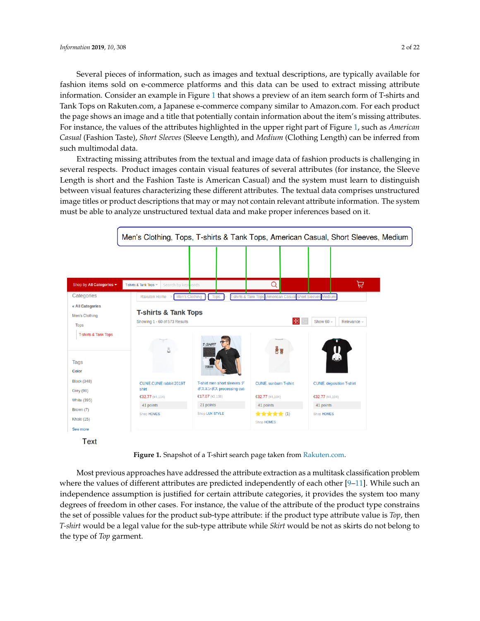Several pieces of information, such as images and textual descriptions, are typically available for fashion items sold on e-commerce platforms and this data can be used to extract missing attribute information. Consider an example in Figure [1](#page-1-0) that shows a preview of an item search form of T-shirts and Tank Tops on Rakuten.com, a Japanese e-commerce company similar to Amazon.com. For each product the page shows an image and a title that potentially contain information about the item's missing attributes. For instance, the values of the attributes highlighted in the upper right part of Figure [1,](#page-1-0) such as *American Casual* (Fashion Taste), *Short Sleeves* (Sleeve Length), and *Medium* (Clothing Length) can be inferred from such multimodal data.

Extracting missing attributes from the textual and image data of fashion products is challenging in several respects. Product images contain visual features of several attributes (for instance, the Sleeve Length is short and the Fashion Taste is American Casual) and the system must learn to distinguish between visual features characterizing these different attributes. The textual data comprises unstructured image titles or product descriptions that may or may not contain relevant attribute information. The system must be able to analyze unstructured textual data and make proper inferences based on it.

<span id="page-1-0"></span>

**Figure 1.** Snapshot of a T-shirt search page taken from [Rakuten.com.](Rakuten.com)

Most previous approaches have addressed the attribute extraction as a multitask classification problem where the values of different attributes are predicted independently of each other [\[9](#page-19-7)[–11\]](#page-19-8). While such an independence assumption is justified for certain attribute categories, it provides the system too many degrees of freedom in other cases. For instance, the value of the attribute of the product type constrains the set of possible values for the product sub-type attribute: if the product type attribute value is *Top*, then *T-shirt* would be a legal value for the sub-type attribute while *Skirt* would be not as skirts do not belong to the type of *Top* garment.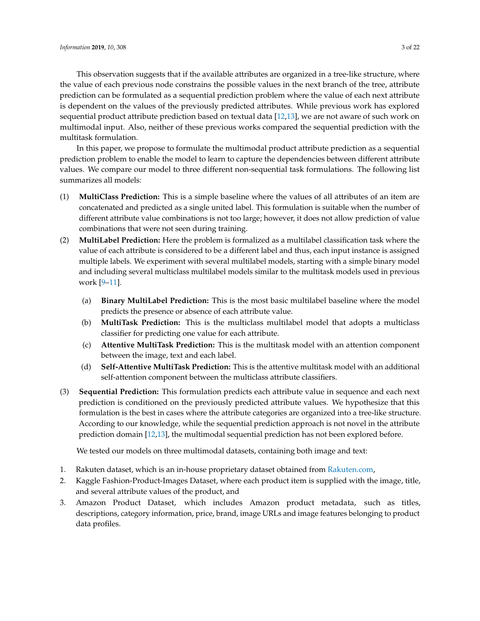This observation suggests that if the available attributes are organized in a tree-like structure, where the value of each previous node constrains the possible values in the next branch of the tree, attribute prediction can be formulated as a sequential prediction problem where the value of each next attribute is dependent on the values of the previously predicted attributes. While previous work has explored sequential product attribute prediction based on textual data [\[12](#page-19-9)[,13\]](#page-19-10), we are not aware of such work on multimodal input. Also, neither of these previous works compared the sequential prediction with the multitask formulation.

In this paper, we propose to formulate the multimodal product attribute prediction as a sequential prediction problem to enable the model to learn to capture the dependencies between different attribute values. We compare our model to three different non-sequential task formulations. The following list summarizes all models:

- (1) **MultiClass Prediction:** This is a simple baseline where the values of all attributes of an item are concatenated and predicted as a single united label. This formulation is suitable when the number of different attribute value combinations is not too large; however, it does not allow prediction of value combinations that were not seen during training.
- (2) **MultiLabel Prediction:** Here the problem is formalized as a multilabel classification task where the value of each attribute is considered to be a different label and thus, each input instance is assigned multiple labels. We experiment with several multilabel models, starting with a simple binary model and including several multiclass multilabel models similar to the multitask models used in previous work [\[9](#page-19-7)[–11\]](#page-19-8).
	- (a) **Binary MultiLabel Prediction:** This is the most basic multilabel baseline where the model predicts the presence or absence of each attribute value.
	- (b) **MultiTask Prediction:** This is the multiclass multilabel model that adopts a multiclass classifier for predicting one value for each attribute.
	- (c) **Attentive MultiTask Prediction:** This is the multitask model with an attention component between the image, text and each label.
	- (d) **Self-Attentive MultiTask Prediction:** This is the attentive multitask model with an additional self-attention component between the multiclass attribute classifiers.
- (3) **Sequential Prediction:** This formulation predicts each attribute value in sequence and each next prediction is conditioned on the previously predicted attribute values. We hypothesize that this formulation is the best in cases where the attribute categories are organized into a tree-like structure. According to our knowledge, while the sequential prediction approach is not novel in the attribute prediction domain [\[12,](#page-19-9)[13\]](#page-19-10), the multimodal sequential prediction has not been explored before.

We tested our models on three multimodal datasets, containing both image and text:

- 1. Rakuten dataset, which is an in-house proprietary dataset obtained from [Rakuten.com,](Rakuten.com)
- 2. Kaggle Fashion-Product-Images Dataset, where each product item is supplied with the image, title, and several attribute values of the product, and
- 3. Amazon Product Dataset, which includes Amazon product metadata, such as titles, descriptions, category information, price, brand, image URLs and image features belonging to product data profiles.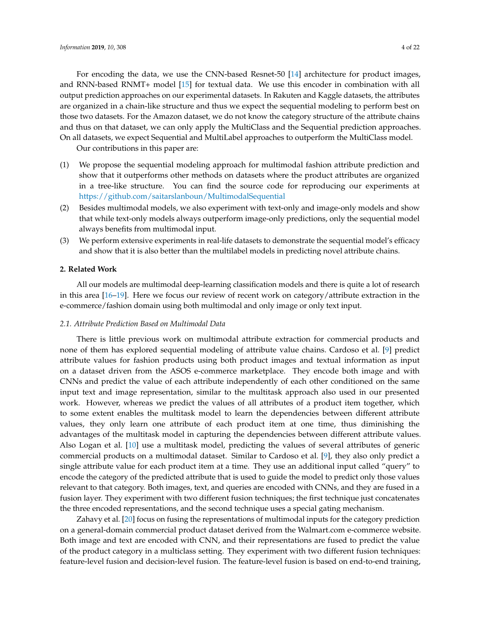For encoding the data, we use the CNN-based Resnet-50 [\[14\]](#page-19-11) architecture for product images, and RNN-based RNMT+ model [\[15\]](#page-19-12) for textual data. We use this encoder in combination with all output prediction approaches on our experimental datasets. In Rakuten and Kaggle datasets, the attributes are organized in a chain-like structure and thus we expect the sequential modeling to perform best on those two datasets. For the Amazon dataset, we do not know the category structure of the attribute chains and thus on that dataset, we can only apply the MultiClass and the Sequential prediction approaches. On all datasets, we expect Sequential and MultiLabel approaches to outperform the MultiClass model.

Our contributions in this paper are:

- (1) We propose the sequential modeling approach for multimodal fashion attribute prediction and show that it outperforms other methods on datasets where the product attributes are organized in a tree-like structure. You can find the source code for reproducing our experiments at <https://github.com/saitarslanboun/MultimodalSequential>
- (2) Besides multimodal models, we also experiment with text-only and image-only models and show that while text-only models always outperform image-only predictions, only the sequential model always benefits from multimodal input.
- (3) We perform extensive experiments in real-life datasets to demonstrate the sequential model's efficacy and show that it is also better than the multilabel models in predicting novel attribute chains.

# **2. Related Work**

All our models are multimodal deep-learning classification models and there is quite a lot of research in this area [\[16–](#page-19-13)[19\]](#page-19-14). Here we focus our review of recent work on category/attribute extraction in the e-commerce/fashion domain using both multimodal and only image or only text input.

#### *2.1. Attribute Prediction Based on Multimodal Data*

There is little previous work on multimodal attribute extraction for commercial products and none of them has explored sequential modeling of attribute value chains. Cardoso et al. [\[9\]](#page-19-7) predict attribute values for fashion products using both product images and textual information as input on a dataset driven from the ASOS e-commerce marketplace. They encode both image and with CNNs and predict the value of each attribute independently of each other conditioned on the same input text and image representation, similar to the multitask approach also used in our presented work. However, whereas we predict the values of all attributes of a product item together, which to some extent enables the multitask model to learn the dependencies between different attribute values, they only learn one attribute of each product item at one time, thus diminishing the advantages of the multitask model in capturing the dependencies between different attribute values. Also Logan et al. [\[10\]](#page-19-15) use a multitask model, predicting the values of several attributes of generic commercial products on a multimodal dataset. Similar to Cardoso et al. [\[9\]](#page-19-7), they also only predict a single attribute value for each product item at a time. They use an additional input called "query" to encode the category of the predicted attribute that is used to guide the model to predict only those values relevant to that category. Both images, text, and queries are encoded with CNNs, and they are fused in a fusion layer. They experiment with two different fusion techniques; the first technique just concatenates the three encoded representations, and the second technique uses a special gating mechanism.

Zahavy et al. [\[20\]](#page-20-0) focus on fusing the representations of multimodal inputs for the category prediction on a general-domain commercial product dataset derived from the Walmart.com e-commerce website. Both image and text are encoded with CNN, and their representations are fused to predict the value of the product category in a multiclass setting. They experiment with two different fusion techniques: feature-level fusion and decision-level fusion. The feature-level fusion is based on end-to-end training,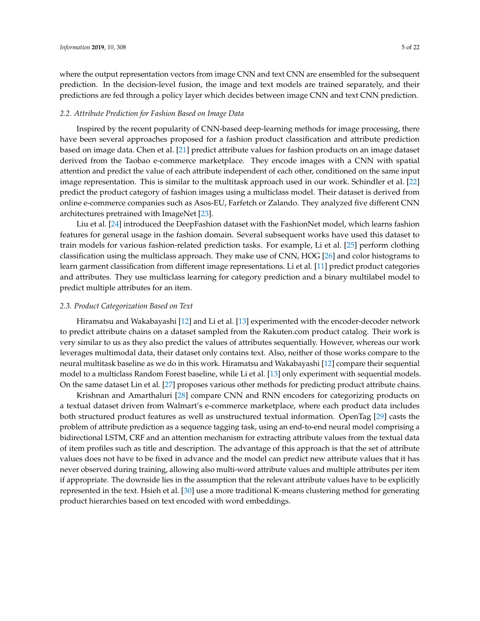where the output representation vectors from image CNN and text CNN are ensembled for the subsequent prediction. In the decision-level fusion, the image and text models are trained separately, and their predictions are fed through a policy layer which decides between image CNN and text CNN prediction.

#### *2.2. Attribute Prediction for Fashion Based on Image Data*

Inspired by the recent popularity of CNN-based deep-learning methods for image processing, there have been several approaches proposed for a fashion product classification and attribute prediction based on image data. Chen et al. [\[21\]](#page-20-1) predict attribute values for fashion products on an image dataset derived from the Taobao e-commerce marketplace. They encode images with a CNN with spatial attention and predict the value of each attribute independent of each other, conditioned on the same input image representation. This is similar to the multitask approach used in our work. Schindler et al. [\[22\]](#page-20-2) predict the product category of fashion images using a multiclass model. Their dataset is derived from online e-commerce companies such as Asos-EU, Farfetch or Zalando. They analyzed five different CNN architectures pretrained with ImageNet [\[23\]](#page-20-3).

Liu et al. [\[24\]](#page-20-4) introduced the DeepFashion dataset with the FashionNet model, which learns fashion features for general usage in the fashion domain. Several subsequent works have used this dataset to train models for various fashion-related prediction tasks. For example, Li et al. [\[25\]](#page-20-5) perform clothing classification using the multiclass approach. They make use of CNN, HOG [\[26\]](#page-20-6) and color histograms to learn garment classification from different image representations. Li et al. [\[11\]](#page-19-8) predict product categories and attributes. They use multiclass learning for category prediction and a binary multilabel model to predict multiple attributes for an item.

# *2.3. Product Categorization Based on Text*

Hiramatsu and Wakabayashi [\[12\]](#page-19-9) and Li et al. [\[13\]](#page-19-10) experimented with the encoder-decoder network to predict attribute chains on a dataset sampled from the Rakuten.com product catalog. Their work is very similar to us as they also predict the values of attributes sequentially. However, whereas our work leverages multimodal data, their dataset only contains text. Also, neither of those works compare to the neural multitask baseline as we do in this work. Hiramatsu and Wakabayashi [\[12\]](#page-19-9) compare their sequential model to a multiclass Random Forest baseline, while Li et al. [\[13\]](#page-19-10) only experiment with sequential models. On the same dataset Lin et al. [\[27\]](#page-20-7) proposes various other methods for predicting product attribute chains.

Krishnan and Amarthaluri [\[28\]](#page-20-8) compare CNN and RNN encoders for categorizing products on a textual dataset driven from Walmart's e-commerce marketplace, where each product data includes both structured product features as well as unstructured textual information. OpenTag [\[29\]](#page-20-9) casts the problem of attribute prediction as a sequence tagging task, using an end-to-end neural model comprising a bidirectional LSTM, CRF and an attention mechanism for extracting attribute values from the textual data of item profiles such as title and description. The advantage of this approach is that the set of attribute values does not have to be fixed in advance and the model can predict new attribute values that it has never observed during training, allowing also multi-word attribute values and multiple attributes per item if appropriate. The downside lies in the assumption that the relevant attribute values have to be explicitly represented in the text. Hsieh et al. [\[30\]](#page-20-10) use a more traditional K-means clustering method for generating product hierarchies based on text encoded with word embeddings.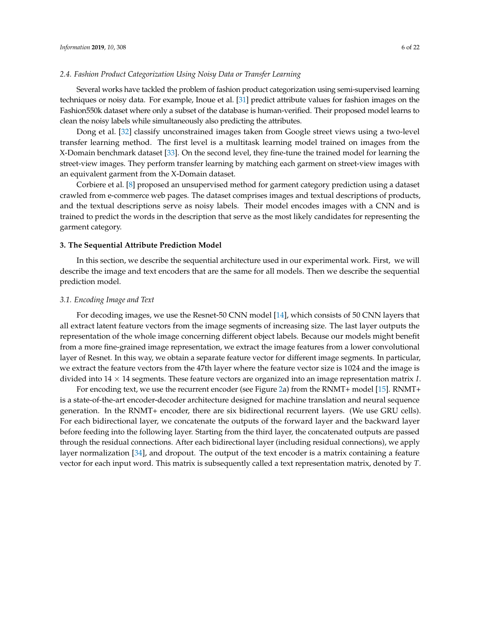#### *2.4. Fashion Product Categorization Using Noisy Data or Transfer Learning*

Several works have tackled the problem of fashion product categorization using semi-supervised learning techniques or noisy data. For example, Inoue et al. [\[31\]](#page-20-11) predict attribute values for fashion images on the Fashion550k dataset where only a subset of the database is human-verified. Their proposed model learns to clean the noisy labels while simultaneously also predicting the attributes.

Dong et al. [\[32\]](#page-20-12) classify unconstrained images taken from Google street views using a two-level transfer learning method. The first level is a multitask learning model trained on images from the X-Domain benchmark dataset [\[33\]](#page-20-13). On the second level, they fine-tune the trained model for learning the street-view images. They perform transfer learning by matching each garment on street-view images with an equivalent garment from the X-Domain dataset.

Corbiere et al. [\[8\]](#page-19-6) proposed an unsupervised method for garment category prediction using a dataset crawled from e-commerce web pages. The dataset comprises images and textual descriptions of products, and the textual descriptions serve as noisy labels. Their model encodes images with a CNN and is trained to predict the words in the description that serve as the most likely candidates for representing the garment category.

# **3. The Sequential Attribute Prediction Model**

In this section, we describe the sequential architecture used in our experimental work. First, we will describe the image and text encoders that are the same for all models. Then we describe the sequential prediction model.

#### <span id="page-5-0"></span>*3.1. Encoding Image and Text*

For decoding images, we use the Resnet-50 CNN model [\[14\]](#page-19-11), which consists of 50 CNN layers that all extract latent feature vectors from the image segments of increasing size. The last layer outputs the representation of the whole image concerning different object labels. Because our models might benefit from a more fine-grained image representation, we extract the image features from a lower convolutional layer of Resnet. In this way, we obtain a separate feature vector for different image segments. In particular, we extract the feature vectors from the 47th layer where the feature vector size is 1024 and the image is divided into 14 × 14 segments. These feature vectors are organized into an image representation matrix *I*.

For encoding text, we use the recurrent encoder (see Figure [2a](#page-6-0)) from the RNMT+ model [\[15\]](#page-19-12). RNMT+ is a state-of-the-art encoder-decoder architecture designed for machine translation and neural sequence generation. In the RNMT+ encoder, there are six bidirectional recurrent layers. (We use GRU cells). For each bidirectional layer, we concatenate the outputs of the forward layer and the backward layer before feeding into the following layer. Starting from the third layer, the concatenated outputs are passed through the residual connections. After each bidirectional layer (including residual connections), we apply layer normalization [\[34\]](#page-20-14), and dropout. The output of the text encoder is a matrix containing a feature vector for each input word. This matrix is subsequently called a text representation matrix, denoted by *T*.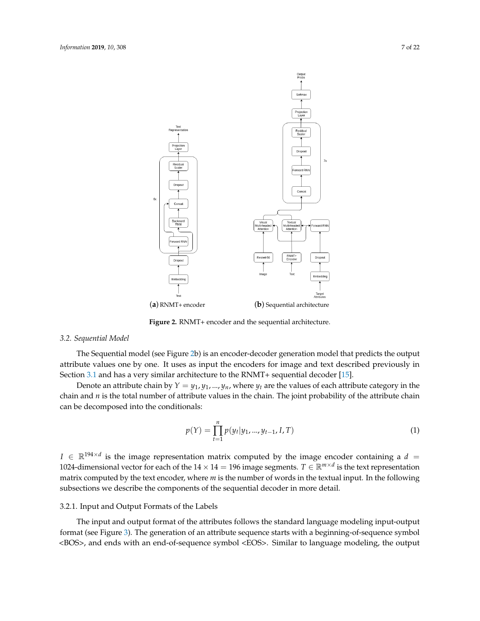<span id="page-6-0"></span>

(**a**) RNMT+ encoder (**b**) Sequential architecture

# **Figure 2.** RNMT+ encoder and the sequential architecture.

# *3.2. Sequential Model*

The Sequential model (see Figure [2b](#page-6-0)) is an encoder-decoder generation model that predicts the output attribute values one by one. It uses as input the encoders for image and text described previously in Section [3.1](#page-5-0) and has a very similar architecture to the RNMT+ sequential decoder [\[15\]](#page-19-12).

Denote an attribute chain by  $Y = y_1, y_1, ..., y_n$ , where  $y_t$  are the values of each attribute category in the chain and *n* is the total number of attribute values in the chain. The joint probability of the attribute chain can be decomposed into the conditionals:

$$
p(Y) = \prod_{t=1}^{n} p(y_t | y_1, ..., y_{t-1}, I, T)
$$
\n(1)

 $I \in \mathbb{R}^{194 \times d}$  is the image representation matrix computed by the image encoder containing a  $d =$ 1024-dimensional vector for each of the  $14 \times 14 = 196$  image segments.  $T \in \mathbb{R}^{m \times d}$  is the text representation matrix computed by the text encoder, where *m* is the number of words in the textual input. In the following subsections we describe the components of the sequential decoder in more detail.

# 3.2.1. Input and Output Formats of the Labels

The input and output format of the attributes follows the standard language modeling input-output format (see Figure [3\)](#page-7-0). The generation of an attribute sequence starts with a beginning-of-sequence symbol <BOS>, and ends with an end-of-sequence symbol <EOS>. Similar to language modeling, the output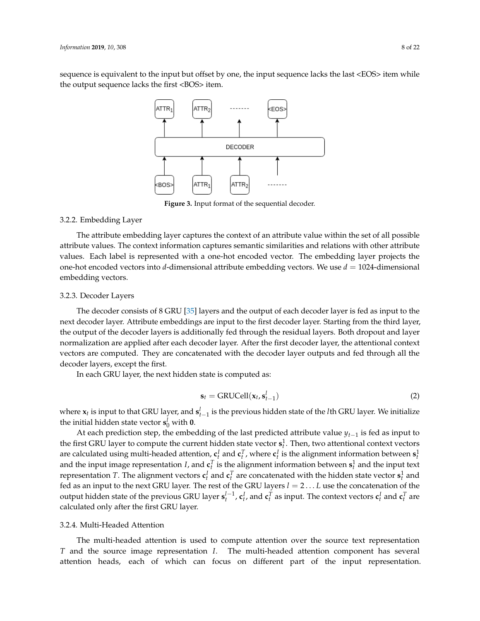<span id="page-7-0"></span>sequence is equivalent to the input but offset by one, the input sequence lacks the last <EOS> item while the output sequence lacks the first <BOS> item.



**Figure 3.** Input format of the sequential decoder.

# 3.2.2. Embedding Layer

The attribute embedding layer captures the context of an attribute value within the set of all possible attribute values. The context information captures semantic similarities and relations with other attribute values. Each label is represented with a one-hot encoded vector. The embedding layer projects the one-hot encoded vectors into *d*-dimensional attribute embedding vectors. We use  $d = 1024$ -dimensional embedding vectors.

#### 3.2.3. Decoder Layers

The decoder consists of 8 GRU [\[35\]](#page-20-15) layers and the output of each decoder layer is fed as input to the next decoder layer. Attribute embeddings are input to the first decoder layer. Starting from the third layer, the output of the decoder layers is additionally fed through the residual layers. Both dropout and layer normalization are applied after each decoder layer. After the first decoder layer, the attentional context vectors are computed. They are concatenated with the decoder layer outputs and fed through all the decoder layers, except the first.

In each GRU layer, the next hidden state is computed as:

$$
\mathbf{s}_t = \text{GRUCell}(\mathbf{x}_t, \mathbf{s}_{t-1}^l)
$$
 (2)

where  $x_t$  is input to that GRU layer, and  $s_{t-1}^l$  is the previous hidden state of the *l*th GRU layer. We initialize the initial hidden state vector  $\mathbf{s}_0^l$  with  $\mathbf{0}$ .

At each prediction step, the embedding of the last predicted attribute value *yt*−<sup>1</sup> is fed as input to the first GRU layer to compute the current hidden state vector  $\mathbf{s}_t^1$ . Then, two attentional context vectors are calculated using multi-headed attention,  $\mathbf{c}_t^I$  and  $\mathbf{c}_t^T$ , where  $\mathbf{c}_t^I$  is the alignment information between  $\mathbf{s}_t^1$ and the input image representation *I*, and  $\mathbf{c}_t^T$  is the alignment information between  $\mathbf{s}_t^1$  and the input text representation  $T$ . The alignment vectors  $\mathbf{c}_t^I$  and  $\mathbf{c}_t^T$  are concatenated with the hidden state vector  $\mathbf{s}_t^1$  and fed as an input to the next GRU layer. The rest of the GRU layers *l* = 2 . . . *L* use the concatenation of the output hidden state of the previous GRU layer  $\mathbf{s}_t^{l-1}$ ,  $\mathbf{c}_t^I$ , and  $\mathbf{c}_t^T$  as input. The context vectors  $\mathbf{c}_t^I$  and  $\mathbf{c}_t^T$  are calculated only after the first GRU layer.

# <span id="page-7-1"></span>3.2.4. Multi-Headed Attention

The multi-headed attention is used to compute attention over the source text representation *T* and the source image representation *I*. The multi-headed attention component has several attention heads, each of which can focus on different part of the input representation.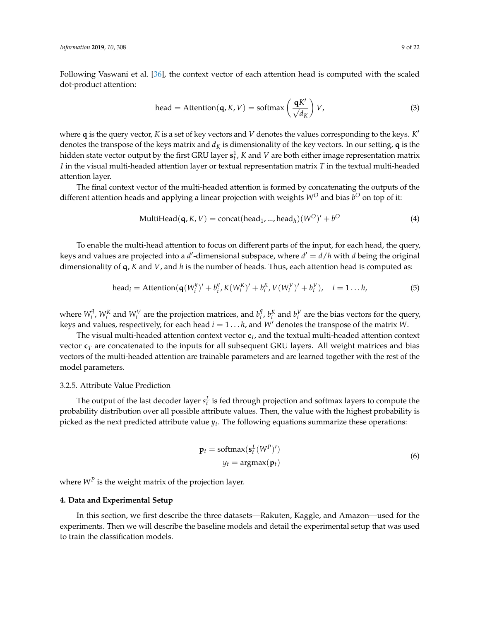Following Vaswani et al. [\[36\]](#page-20-16), the context vector of each attention head is computed with the scaled dot-product attention:

head = Attention(q, K, V) = softmax 
$$
\left(\frac{qK'}{\sqrt{d_K}}\right) V
$$
, (3)

where **q** is the query vector, *K* is a set of key vectors and *V* denotes the values corresponding to the keys. *K* 0 denotes the transpose of the keys matrix and  $d<sub>K</sub>$  is dimensionality of the key vectors. In our setting, **q** is the hidden state vector output by the first GRU layer  $\mathbf{s}_t^1$ ,  $K$  and  $V$  are both either image representation matrix *I* in the visual multi-headed attention layer or textual representation matrix *T* in the textual multi-headed attention layer.

The final context vector of the multi-headed attention is formed by concatenating the outputs of the different attention heads and applying a linear projection with weights  $W^O$  and bias  $b^O$  on top of it:

$$
MultiHead(q, K, V) = concat(head_1, ..., head_h)(W^O)' + b^O
$$
\n(4)

To enable the multi-head attention to focus on different parts of the input, for each head, the query, keys and values are projected into a *d'*-dimensional subspace, where  $d' = d/h$  with *d* being the original dimensionality of **q**, *K* and *V*, and *h* is the number of heads. Thus, each attention head is computed as:

head<sub>i</sub> = Attention(
$$
\mathbf{q}(W_i^q)' + b_i^q K(W_i^K)' + b_i^K V(W_i^V)' + b_i^V), i = 1...h,
$$
 (5)

where  $W_i^q$  $W_i^q$ ,  $W_i^K$  and  $W_i^V$  are the projection matrices, and  $b_i^q$  $\int_i^q$ ,  $b_i^K$  and  $b_i^V$  are the bias vectors for the query, keys and values, respectively, for each head  $i = 1 \dots h$ , and *W*<sup>*d*</sup> denotes the transpose of the matrix *W*.

The visual multi-headed attention context vector **c***<sup>I</sup>* , and the textual multi-headed attention context vector  $\mathbf{c}_T$  are concatenated to the inputs for all subsequent GRU layers. All weight matrices and bias vectors of the multi-headed attention are trainable parameters and are learned together with the rest of the model parameters.

#### 3.2.5. Attribute Value Prediction

The output of the last decoder layer  $s_t^L$  is fed through projection and softmax layers to compute the probability distribution over all possible attribute values. Then, the value with the highest probability is picked as the next predicted attribute value *y<sup>t</sup>* . The following equations summarize these operations:

$$
\mathbf{p}_t = \text{softmax}(\mathbf{s}_t^L (W^P)')
$$
  

$$
y_t = \text{argmax}(\mathbf{p}_t)
$$
 (6)

where  $W^P$  is the weight matrix of the projection layer.

#### **4. Data and Experimental Setup**

In this section, we first describe the three datasets—Rakuten, Kaggle, and Amazon—used for the experiments. Then we will describe the baseline models and detail the experimental setup that was used to train the classification models.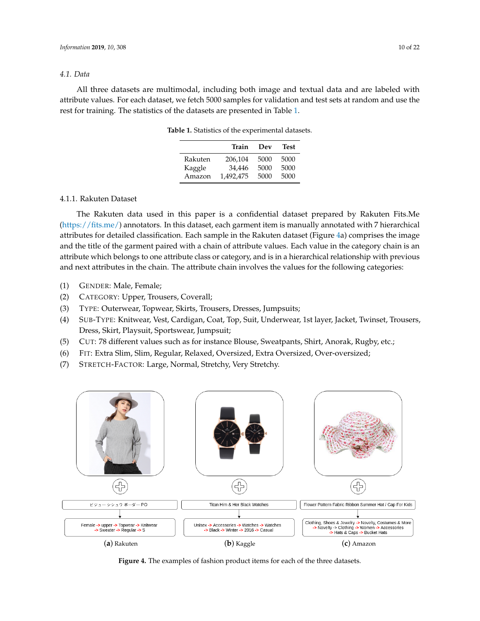# *4.1. Data*

<span id="page-9-0"></span>All three datasets are multimodal, including both image and textual data and are labeled with attribute values. For each dataset, we fetch 5000 samples for validation and test sets at random and use the rest for training. The statistics of the datasets are presented in Table [1.](#page-9-0)

|         | Train     | Dev  | Test |
|---------|-----------|------|------|
| Rakuten | 206,104   | 5000 | 5000 |
| Kaggle  | 34,446    | 5000 | 5000 |
| Amazon  | 1.492.475 | 5000 | 5000 |

**Table 1.** Statistics of the experimental datasets.

# 4.1.1. Rakuten Dataset

The Rakuten data used in this paper is a confidential dataset prepared by Rakuten Fits.Me [\(https://fits.me/\)](https://fits.me/) annotators. In this dataset, each garment item is manually annotated with 7 hierarchical attributes for detailed classification. Each sample in the Rakuten dataset (Figure [4a](#page-9-1)) comprises the image and the title of the garment paired with a chain of attribute values. Each value in the category chain is an attribute which belongs to one attribute class or category, and is in a hierarchical relationship with previous and next attributes in the chain. The attribute chain involves the values for the following categories:

- (1) GENDER: Male, Female;
- (2) CATEGORY: Upper, Trousers, Coverall;
- (3) TYPE: Outerwear, Topwear, Skirts, Trousers, Dresses, Jumpsuits;
- (4) SUB-TYPE: Knitwear, Vest, Cardigan, Coat, Top, Suit, Underwear, 1st layer, Jacket, Twinset, Trousers, Dress, Skirt, Playsuit, Sportswear, Jumpsuit;
- (5) CUT: 78 different values such as for instance Blouse, Sweatpants, Shirt, Anorak, Rugby, etc.;
- (6) FIT: Extra Slim, Slim, Regular, Relaxed, Oversized, Extra Oversized, Over-oversized;
- (7) STRETCH-FACTOR: Large, Normal, Stretchy, Very Stretchy.

<span id="page-9-1"></span>

**Figure 4.** The examples of fashion product items for each of the three datasets.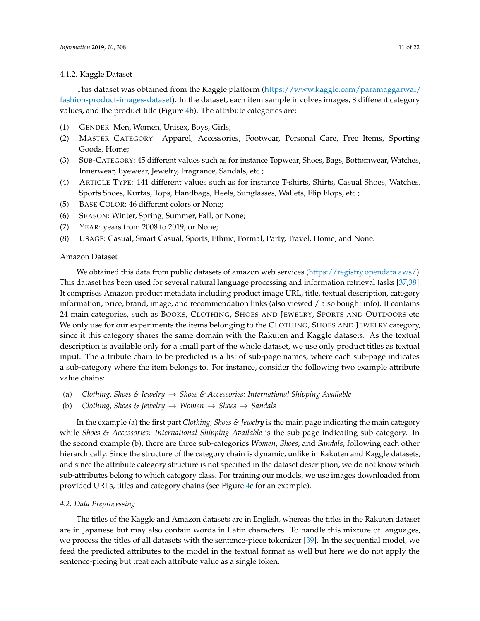#### 4.1.2. Kaggle Dataset

This dataset was obtained from the Kaggle platform [\(https://www.kaggle.com/paramaggarwal/](https://www.kaggle.com/paramaggarwal/fashion-product-images-dataset) [fashion-product-images-dataset\)](https://www.kaggle.com/paramaggarwal/fashion-product-images-dataset). In the dataset, each item sample involves images, 8 different category values, and the product title (Figure [4b](#page-9-1)). The attribute categories are:

- (1) GENDER: Men, Women, Unisex, Boys, Girls;
- (2) MASTER CATEGORY: Apparel, Accessories, Footwear, Personal Care, Free Items, Sporting Goods, Home;
- (3) SUB-CATEGORY: 45 different values such as for instance Topwear, Shoes, Bags, Bottomwear, Watches, Innerwear, Eyewear, Jewelry, Fragrance, Sandals, etc.;
- (4) ARTICLE TYPE: 141 different values such as for instance T-shirts, Shirts, Casual Shoes, Watches, Sports Shoes, Kurtas, Tops, Handbags, Heels, Sunglasses, Wallets, Flip Flops, etc.;
- (5) BASE COLOR: 46 different colors or None;
- (6) SEASON: Winter, Spring, Summer, Fall, or None;
- (7) YEAR: years from 2008 to 2019, or None;
- (8) USAGE: Casual, Smart Casual, Sports, Ethnic, Formal, Party, Travel, Home, and None.

# Amazon Dataset

We obtained this data from public datasets of amazon web services [\(https://registry.opendata.aws/\)](https://registry.opendata.aws/). This dataset has been used for several natural language processing and information retrieval tasks [\[37,](#page-20-17)[38\]](#page-20-18). It comprises Amazon product metadata including product image URL, title, textual description, category information, price, brand, image, and recommendation links (also viewed / also bought info). It contains 24 main categories, such as BOOKS, CLOTHING, SHOES AND JEWELRY, SPORTS AND OUTDOORS etc. We only use for our experiments the items belonging to the CLOTHING, SHOES AND JEWELRY category, since it this category shares the same domain with the Rakuten and Kaggle datasets. As the textual description is available only for a small part of the whole dataset, we use only product titles as textual input. The attribute chain to be predicted is a list of sub-page names, where each sub-page indicates a sub-category where the item belongs to. For instance, consider the following two example attribute value chains:

- (a) *Clothing, Shoes & Jewelry* → *Shoes & Accessories: International Shipping Available*
- (b) *Clothing, Shoes & Jewelry* → *Women* → *Shoes* → *Sandals*

In the example (a) the first part *Clothing, Shoes & Jewelry* is the main page indicating the main category while *Shoes & Accessories: International Shipping Available* is the sub-page indicating sub-category. In the second example (b), there are three sub-categories *Women*, *Shoes*, and *Sandals*, following each other hierarchically. Since the structure of the category chain is dynamic, unlike in Rakuten and Kaggle datasets, and since the attribute category structure is not specified in the dataset description, we do not know which sub-attributes belong to which category class. For training our models, we use images downloaded from provided URLs, titles and category chains (see Figure [4c](#page-9-1) for an example).

# *4.2. Data Preprocessing*

The titles of the Kaggle and Amazon datasets are in English, whereas the titles in the Rakuten dataset are in Japanese but may also contain words in Latin characters. To handle this mixture of languages, we process the titles of all datasets with the sentence-piece tokenizer [\[39\]](#page-21-0). In the sequential model, we feed the predicted attributes to the model in the textual format as well but here we do not apply the sentence-piecing but treat each attribute value as a single token.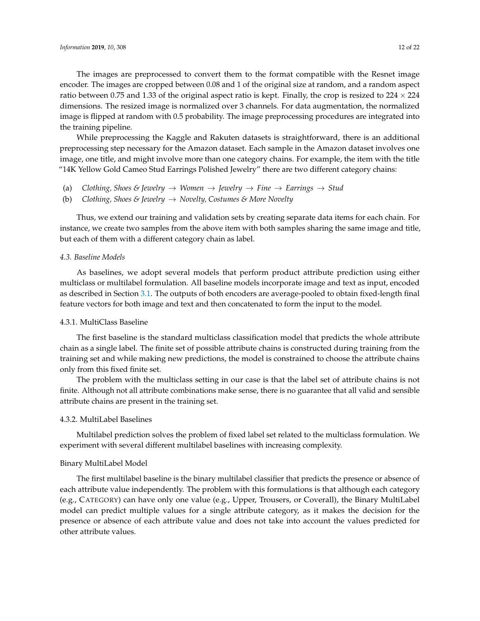The images are preprocessed to convert them to the format compatible with the Resnet image encoder. The images are cropped between 0.08 and 1 of the original size at random, and a random aspect ratio between 0.75 and 1.33 of the original aspect ratio is kept. Finally, the crop is resized to  $224 \times 224$ dimensions. The resized image is normalized over 3 channels. For data augmentation, the normalized image is flipped at random with 0.5 probability. The image preprocessing procedures are integrated into the training pipeline.

While preprocessing the Kaggle and Rakuten datasets is straightforward, there is an additional preprocessing step necessary for the Amazon dataset. Each sample in the Amazon dataset involves one image, one title, and might involve more than one category chains. For example, the item with the title "14K Yellow Gold Cameo Stud Earrings Polished Jewelry" there are two different category chains:

- (a) *Clothing, Shoes & Jewelry*  $\rightarrow$  *Women*  $\rightarrow$  *Jewelry*  $\rightarrow$  *Fine*  $\rightarrow$  *Earrings*  $\rightarrow$  *Stud*
- (b) *Clothing, Shoes & Jewelry* → *Novelty, Costumes & More Novelty*

Thus, we extend our training and validation sets by creating separate data items for each chain. For instance, we create two samples from the above item with both samples sharing the same image and title, but each of them with a different category chain as label.

# *4.3. Baseline Models*

As baselines, we adopt several models that perform product attribute prediction using either multiclass or multilabel formulation. All baseline models incorporate image and text as input, encoded as described in Section [3.1.](#page-5-0) The outputs of both encoders are average-pooled to obtain fixed-length final feature vectors for both image and text and then concatenated to form the input to the model.

# 4.3.1. MultiClass Baseline

The first baseline is the standard multiclass classification model that predicts the whole attribute chain as a single label. The finite set of possible attribute chains is constructed during training from the training set and while making new predictions, the model is constrained to choose the attribute chains only from this fixed finite set.

The problem with the multiclass setting in our case is that the label set of attribute chains is not finite. Although not all attribute combinations make sense, there is no guarantee that all valid and sensible attribute chains are present in the training set.

# 4.3.2. MultiLabel Baselines

Multilabel prediction solves the problem of fixed label set related to the multiclass formulation. We experiment with several different multilabel baselines with increasing complexity.

#### Binary MultiLabel Model

The first multilabel baseline is the binary multilabel classifier that predicts the presence or absence of each attribute value independently. The problem with this formulations is that although each category (e.g., CATEGORY) can have only one value (e.g., Upper, Trousers, or Coverall), the Binary MultiLabel model can predict multiple values for a single attribute category, as it makes the decision for the presence or absence of each attribute value and does not take into account the values predicted for other attribute values.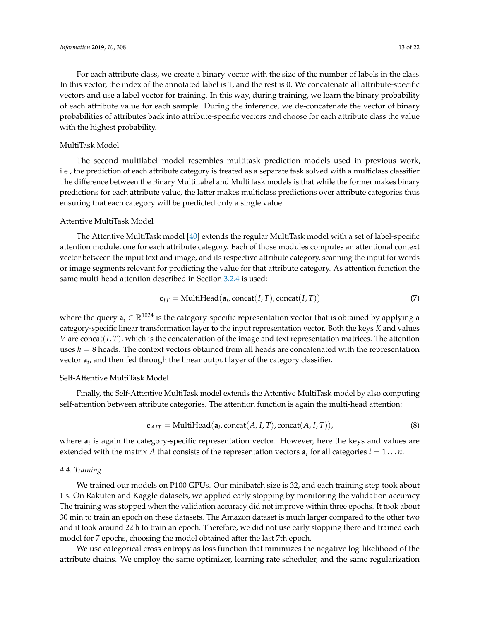For each attribute class, we create a binary vector with the size of the number of labels in the class. In this vector, the index of the annotated label is 1, and the rest is 0. We concatenate all attribute-specific vectors and use a label vector for training. In this way, during training, we learn the binary probability of each attribute value for each sample. During the inference, we de-concatenate the vector of binary probabilities of attributes back into attribute-specific vectors and choose for each attribute class the value with the highest probability.

# MultiTask Model

The second multilabel model resembles multitask prediction models used in previous work, i.e., the prediction of each attribute category is treated as a separate task solved with a multiclass classifier. The difference between the Binary MultiLabel and MultiTask models is that while the former makes binary predictions for each attribute value, the latter makes multiclass predictions over attribute categories thus ensuring that each category will be predicted only a single value.

#### Attentive MultiTask Model

The Attentive MultiTask model [\[40\]](#page-21-1) extends the regular MultiTask model with a set of label-specific attention module, one for each attribute category. Each of those modules computes an attentional context vector between the input text and image, and its respective attribute category, scanning the input for words or image segments relevant for predicting the value for that attribute category. As attention function the same multi-head attention described in Section [3.2.4](#page-7-1) is used:

$$
\mathbf{c}_{IT} = \text{MultiHead}(\mathbf{a}_i, \text{concat}(I, T), \text{concat}(I, T)) \tag{7}
$$

where the query  $a_i \in \mathbb{R}^{1024}$  is the category-specific representation vector that is obtained by applying a category-specific linear transformation layer to the input representation vector. Both the keys *K* and values *V* are concat(*I*, *T*), which is the concatenation of the image and text representation matrices. The attention uses *h* = 8 heads. The context vectors obtained from all heads are concatenated with the representation vector **a***<sup>i</sup>* , and then fed through the linear output layer of the category classifier.

## Self-Attentive MultiTask Model

Finally, the Self-Attentive MultiTask model extends the Attentive MultiTask model by also computing self-attention between attribute categories. The attention function is again the multi-head attention:

$$
\mathbf{c}_{AIT} = \text{MultiHead}(\mathbf{a}_i, \text{concat}(A, I, T), \text{concat}(A, I, T)), \tag{8}
$$

where **a***<sup>i</sup>* is again the category-specific representation vector. However, here the keys and values are extended with the matrix A that consists of the representation vectors  $a_i$  for all categories  $i = 1 \dots n$ .

# *4.4. Training*

We trained our models on P100 GPUs. Our minibatch size is 32, and each training step took about 1 s. On Rakuten and Kaggle datasets, we applied early stopping by monitoring the validation accuracy. The training was stopped when the validation accuracy did not improve within three epochs. It took about 30 min to train an epoch on these datasets. The Amazon dataset is much larger compared to the other two and it took around 22 h to train an epoch. Therefore, we did not use early stopping there and trained each model for 7 epochs, choosing the model obtained after the last 7th epoch.

We use categorical cross-entropy as loss function that minimizes the negative log-likelihood of the attribute chains. We employ the same optimizer, learning rate scheduler, and the same regularization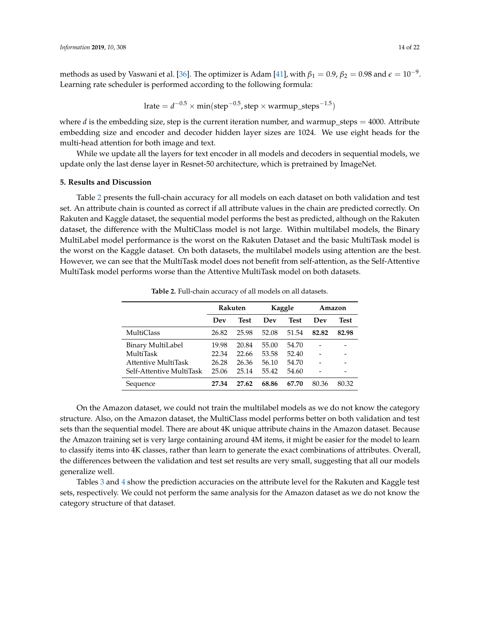methods as used by Vaswani et al. [\[36\]](#page-20-16). The optimizer is Adam [\[41\]](#page-21-2), with  $\beta_1=0.9$ ,  $\beta_2=0.98$  and  $\epsilon=10^{-9}$ . Learning rate scheduler is performed according to the following formula:

$$
lrate = d^{-0.5} \times min(step^{-0.5}, step \times warmup\_steps^{-1.5})
$$

where  $d$  is the embedding size, step is the current iteration number, and warmup\_steps  $=$  4000. Attribute embedding size and encoder and decoder hidden layer sizes are 1024. We use eight heads for the multi-head attention for both image and text.

While we update all the layers for text encoder in all models and decoders in sequential models, we update only the last dense layer in Resnet-50 architecture, which is pretrained by ImageNet.

# **5. Results and Discussion**

Table [2](#page-13-0) presents the full-chain accuracy for all models on each dataset on both validation and test set. An attribute chain is counted as correct if all attribute values in the chain are predicted correctly. On Rakuten and Kaggle dataset, the sequential model performs the best as predicted, although on the Rakuten dataset, the difference with the MultiClass model is not large. Within multilabel models, the Binary MultiLabel model performance is the worst on the Rakuten Dataset and the basic MultiTask model is the worst on the Kaggle dataset. On both datasets, the multilabel models using attention are the best. However, we can see that the MultiTask model does not benefit from self-attention, as the Self-Attentive MultiTask model performs worse than the Attentive MultiTask model on both datasets.

<span id="page-13-0"></span>

|                          | Rakuten |             |       | Kaggle      | Amazon |             |
|--------------------------|---------|-------------|-------|-------------|--------|-------------|
|                          | Dev     | <b>Test</b> | Dev   | <b>Test</b> | Dev    | <b>Test</b> |
| <b>MultiClass</b>        | 26.82   | 25.98       | 52.08 | 51.54       | 82.82  | 82.98       |
| Binary MultiLabel        | 19.98   | 20.84       | 55.00 | 54.70       |        |             |
| MultiTask                | 22.34   | 22.66       | 53.58 | 52.40       |        |             |
| Attentive MultiTask      | 26.28   | 26.36       | 56.10 | 54.70       |        |             |
| Self-Attentive MultiTask | 25.06   | 25.14       | 55.42 | 54.60       |        |             |
| Sequence                 | 27.34   | 27.62       | 68.86 | 67.70       | 80.36  | 80.32       |

**Table 2.** Full-chain accuracy of all models on all datasets.

On the Amazon dataset, we could not train the multilabel models as we do not know the category structure. Also, on the Amazon dataset, the MultiClass model performs better on both validation and test sets than the sequential model. There are about 4K unique attribute chains in the Amazon dataset. Because the Amazon training set is very large containing around 4M items, it might be easier for the model to learn to classify items into 4K classes, rather than learn to generate the exact combinations of attributes. Overall, the differences between the validation and test set results are very small, suggesting that all our models generalize well.

Tables [3](#page-14-0) and [4](#page-14-1) show the prediction accuracies on the attribute level for the Rakuten and Kaggle test sets, respectively. We could not perform the same analysis for the Amazon dataset as we do not know the category structure of that dataset.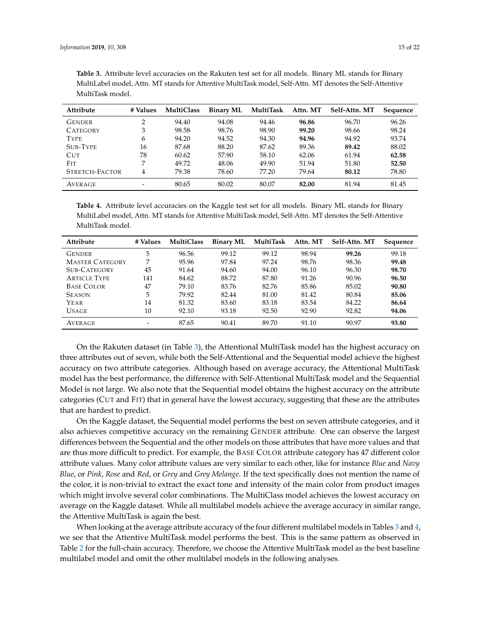| Attribute       | # Values | <b>MultiClass</b> | <b>Binary ML</b> | MultiTask | Attn. MT | Self-Attn. MT | Sequence |
|-----------------|----------|-------------------|------------------|-----------|----------|---------------|----------|
| <b>GENDER</b>   | ∍        | 94.40             | 94.08            | 94.46     | 96.86    | 96.70         | 96.26    |
| <b>CATEGORY</b> | 3        | 98.58             | 98.76            | 98.90     | 99.20    | 98.66         | 98.24    |
| <b>TYPE</b>     | 6        | 94.20             | 94.52            | 94.30     | 94.96    | 94.92         | 93.74    |
| SUB-TYPE        | 16       | 87.68             | 88.20            | 87.62     | 89.36    | 89.42         | 88.02    |
| <b>CUT</b>      | 78       | 60.62             | 57.90            | 58.10     | 62.06    | 61.94         | 62.58    |
| <b>FIT</b>      |          | 49.72             | 48.06            | 49.90     | 51.94    | 51.80         | 52.50    |
| STRETCH-FACTOR  | 4        | 79.38             | 78.60            | 77.20     | 79.64    | 80.12         | 78.80    |
| AVERAGE         |          | 80.65             | 80.02            | 80.07     | 82.00    | 81.94         | 81.45    |

<span id="page-14-0"></span>**Table 3.** Attribute level accuracies on the Rakuten test set for all models. Binary ML stands for Binary MultiLabel model, Attn. MT stands for Attentive MultiTask model, Self-Attn. MT denotes the Self-Attentive MultiTask model.

<span id="page-14-1"></span>**Table 4.** Attribute level accuracies on the Kaggle test set for all models. Binary ML stands for Binary MultiLabel model, Attn. MT stands for Attentive MultiTask model, Self-Attn. MT denotes the Self-Attentive MultiTask model.

| Attribute              | # Values | <b>MultiClass</b> | <b>Binary ML</b> | MultiTask | Attn. MT | Self-Attn. MT | Sequence |
|------------------------|----------|-------------------|------------------|-----------|----------|---------------|----------|
| <b>GENDER</b>          | 5        | 96.56             | 99.12            | 99.12     | 98.94    | 99.26         | 99.18    |
| <b>MASTER CATEGORY</b> | 7        | 95.96             | 97.84            | 97.24     | 98.76    | 98.36         | 99.48    |
| SUB-CATEGORY           | 45       | 91.64             | 94.60            | 94.00     | 96.10    | 96.30         | 98.70    |
| <b>ARTICLE TYPE</b>    | 141      | 84.62             | 88.72            | 87.80     | 91.26    | 90.96         | 96.50    |
| <b>BASE COLOR</b>      | 47       | 79.10             | 83.76            | 82.76     | 85.86    | 85.02         | 90.80    |
| <b>SEASON</b>          | 5        | 79.92             | 82.44            | 81.00     | 81.42    | 80.84         | 85.06    |
| Year                   | 14       | 81.32             | 83.60            | 83.18     | 83.54    | 84.22         | 86.64    |
| <b>USAGE</b>           | 10       | 92.10             | 93.18            | 92.50     | 92.90    | 92.82         | 94.06    |
| AVERAGE                |          | 87.65             | 90.41            | 89.70     | 91.10    | 90.97         | 93.80    |

On the Rakuten dataset (in Table [3\)](#page-14-0), the Attentional MultiTask model has the highest accuracy on three attributes out of seven, while both the Self-Attentional and the Sequential model achieve the highest accuracy on two attribute categories. Although based on average accuracy, the Attentional MultiTask model has the best performance, the difference with Self-Attentional MultiTask model and the Sequential Model is not large. We also note that the Sequential model obtains the highest accuracy on the attribute categories (CUT and FIT) that in general have the lowest accuracy, suggesting that these are the attributes that are hardest to predict.

On the Kaggle dataset, the Sequential model performs the best on seven attribute categories, and it also achieves competitive accuracy on the remaining GENDER attribute. One can observe the largest differences between the Sequential and the other models on those attributes that have more values and that are thus more difficult to predict. For example, the BASE COLOR attribute category has 47 different color attribute values. Many color attribute values are very similar to each other, like for instance *Blue* and *Navy Blue*, or *Pink*, *Rose* and *Red*, or *Grey* and *Grey Melange*. If the text specifically does not mention the name of the color, it is non-trivial to extract the exact tone and intensity of the main color from product images which might involve several color combinations. The MultiClass model achieves the lowest accuracy on average on the Kaggle dataset. While all multilabel models achieve the average accuracy in similar range, the Attentive MultiTask is again the best.

When looking at the average attribute accuracy of the four different multilabel models in Tables [3](#page-14-0) and [4,](#page-14-1) we see that the Attentive MultiTask model performs the best. This is the same pattern as observed in Table [2](#page-13-0) for the full-chain accuracy. Therefore, we choose the Attentive MultiTask model as the best baseline multilabel model and omit the other multilabel models in the following analyses.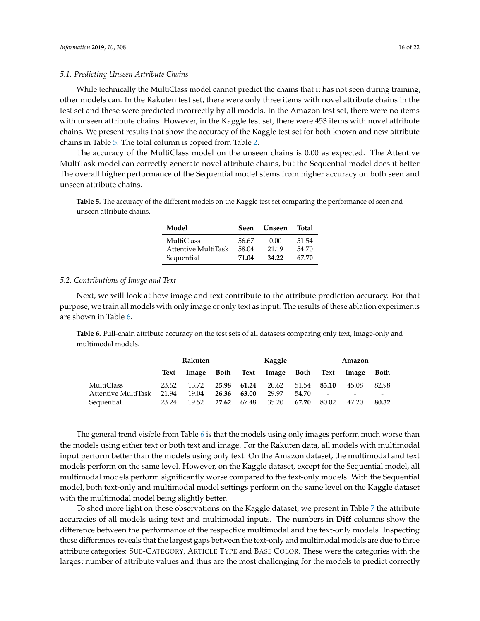#### *5.1. Predicting Unseen Attribute Chains*

While technically the MultiClass model cannot predict the chains that it has not seen during training, other models can. In the Rakuten test set, there were only three items with novel attribute chains in the test set and these were predicted incorrectly by all models. In the Amazon test set, there were no items with unseen attribute chains. However, in the Kaggle test set, there were 453 items with novel attribute chains. We present results that show the accuracy of the Kaggle test set for both known and new attribute chains in Table [5.](#page-15-0) The total column is copied from Table [2.](#page-13-0)

The accuracy of the MultiClass model on the unseen chains is 0.00 as expected. The Attentive MultiTask model can correctly generate novel attribute chains, but the Sequential model does it better. The overall higher performance of the Sequential model stems from higher accuracy on both seen and unseen attribute chains.

<span id="page-15-0"></span>**Table 5.** The accuracy of the different models on the Kaggle test set comparing the performance of seen and unseen attribute chains.

| Model               | Seen  | Unseen | Total |
|---------------------|-------|--------|-------|
| MultiClass          | 56.67 | 0.00   | 51.54 |
| Attentive MultiTask | 58.04 | 21.19  | 54.70 |
| Sequential          | 71.04 | 34.22  | 67.70 |

#### *5.2. Contributions of Image and Text*

Next, we will look at how image and text contribute to the attribute prediction accuracy. For that purpose, we train all models with only image or only text as input. The results of these ablation experiments are shown in Table [6.](#page-15-1)

<span id="page-15-1"></span>**Table 6.** Full-chain attribute accuracy on the test sets of all datasets comparing only text, image-only and multimodal models.

|                     | Rakuten     |       |       | Kaggle |                 |       | Amazon                   |                          |             |
|---------------------|-------------|-------|-------|--------|-----------------|-------|--------------------------|--------------------------|-------------|
|                     | <b>Text</b> | Image | Both  |        | Text Image Both |       | Text                     | Image                    | <b>Both</b> |
| MultiClass          | 23.62       | 13.72 | 25.98 | 61.24  | 20.62           | 51.54 | 83.10                    | 45.08                    | 82.98       |
| Attentive MultiTask | 21.94       | 19.04 | 26.36 | 63.00  | 29.97           | 54.70 | $\overline{\phantom{a}}$ | $\overline{\phantom{a}}$ |             |
| Sequential          | 23.24       | 19.52 | 27.62 | 67.48  | 35.20           | 67.70 | 80.02                    | 47.20                    | 80.32       |

The general trend visible from Table [6](#page-15-1) is that the models using only images perform much worse than the models using either text or both text and image. For the Rakuten data, all models with multimodal input perform better than the models using only text. On the Amazon dataset, the multimodal and text models perform on the same level. However, on the Kaggle dataset, except for the Sequential model, all multimodal models perform significantly worse compared to the text-only models. With the Sequential model, both text-only and multimodal model settings perform on the same level on the Kaggle dataset with the multimodal model being slightly better.

To shed more light on these observations on the Kaggle dataset, we present in Table [7](#page-16-0) the attribute accuracies of all models using text and multimodal inputs. The numbers in **Diff** columns show the difference between the performance of the respective multimodal and the text-only models. Inspecting these differences reveals that the largest gaps between the text-only and multimodal models are due to three attribute categories: SUB-CATEGORY, ARTICLE TYPE and BASE COLOR. These were the categories with the largest number of attribute values and thus are the most challenging for the models to predict correctly.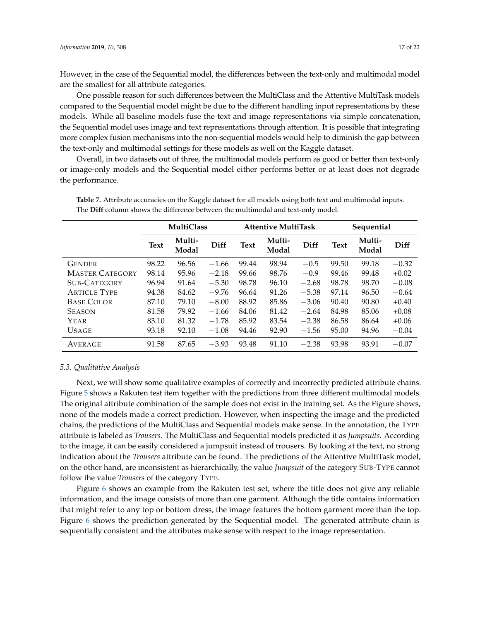However, in the case of the Sequential model, the differences between the text-only and multimodal model are the smallest for all attribute categories.

One possible reason for such differences between the MultiClass and the Attentive MultiTask models compared to the Sequential model might be due to the different handling input representations by these models. While all baseline models fuse the text and image representations via simple concatenation, the Sequential model uses image and text representations through attention. It is possible that integrating more complex fusion mechanisms into the non-sequential models would help to diminish the gap between the text-only and multimodal settings for these models as well on the Kaggle dataset.

Overall, in two datasets out of three, the multimodal models perform as good or better than text-only or image-only models and the Sequential model either performs better or at least does not degrade the performance.

|                        | <b>MultiClass</b> |                 |         | <b>Attentive MultiTask</b> |                 |         | Sequential  |                 |         |
|------------------------|-------------------|-----------------|---------|----------------------------|-----------------|---------|-------------|-----------------|---------|
|                        | <b>Text</b>       | Multi-<br>Modal | Diff    | <b>Text</b>                | Multi-<br>Modal | Diff    | <b>Text</b> | Multi-<br>Modal | Diff    |
| <b>GENDER</b>          | 98.22             | 96.56           | $-1.66$ | 99.44                      | 98.94           | $-0.5$  | 99.50       | 99.18           | $-0.32$ |
| <b>MASTER CATEGORY</b> | 98.14             | 95.96           | $-2.18$ | 99.66                      | 98.76           | $-0.9$  | 99.46       | 99.48           | $+0.02$ |
| SUB-CATEGORY           | 96.94             | 91.64           | $-5.30$ | 98.78                      | 96.10           | $-2.68$ | 98.78       | 98.70           | $-0.08$ |
| <b>ARTICLE TYPE</b>    | 94.38             | 84.62           | $-9.76$ | 96.64                      | 91.26           | $-5.38$ | 97.14       | 96.50           | $-0.64$ |
| <b>BASE COLOR</b>      | 87.10             | 79.10           | $-8.00$ | 88.92                      | 85.86           | $-3.06$ | 90.40       | 90.80           | $+0.40$ |
| <b>SEASON</b>          | 81.58             | 79.92           | $-1.66$ | 84.06                      | 81.42           | $-2.64$ | 84.98       | 85.06           | $+0.08$ |
| YEAR                   | 83.10             | 81.32           | $-1.78$ | 85.92                      | 83.54           | $-2.38$ | 86.58       | 86.64           | $+0.06$ |
| <b>USAGE</b>           | 93.18             | 92.10           | $-1.08$ | 94.46                      | 92.90           | $-1.56$ | 95.00       | 94.96           | $-0.04$ |
| AVERAGE                | 91.58             | 87.65           | $-3.93$ | 93.48                      | 91.10           | $-2.38$ | 93.98       | 93.91           | $-0.07$ |

<span id="page-16-0"></span>**Table 7.** Attribute accuracies on the Kaggle dataset for all models using both text and multimodal inputs. The **Diff** column shows the difference between the multimodal and text-only model.

#### *5.3. Qualitative Analysis*

Next, we will show some qualitative examples of correctly and incorrectly predicted attribute chains. Figure [5](#page-17-0) shows a Rakuten test item together with the predictions from three different multimodal models. The original attribute combination of the sample does not exist in the training set. As the Figure shows, none of the models made a correct prediction. However, when inspecting the image and the predicted chains, the predictions of the MultiClass and Sequential models make sense. In the annotation, the TYPE attribute is labeled as *Trousers*. The MultiClass and Sequential models predicted it as *Jumpsuits*. According to the image, it can be easily considered a jumpsuit instead of trousers. By looking at the text, no strong indication about the *Trousers* attribute can be found. The predictions of the Attentive MultiTask model, on the other hand, are inconsistent as hierarchically, the value *Jumpsuit* of the category SUB-TYPE cannot follow the value *Trousers* of the category TYPE.

Figure [6](#page-17-1) shows an example from the Rakuten test set, where the title does not give any reliable information, and the image consists of more than one garment. Although the title contains information that might refer to any top or bottom dress, the image features the bottom garment more than the top. Figure [6](#page-17-1) shows the prediction generated by the Sequential model. The generated attribute chain is sequentially consistent and the attributes make sense with respect to the image representation.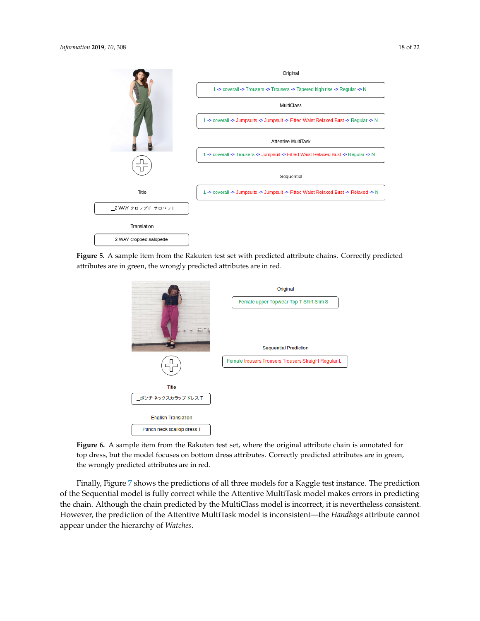<span id="page-17-0"></span>

<span id="page-17-1"></span>**Figure 5.** A sample item from the Rakuten test set with predicted attribute chains. Correctly predicted attributes are in green, the wrongly predicted attributes are in red.



**Figure 6.** A sample item from the Rakuten test set, where the original attribute chain is annotated for top dress, but the model focuses on bottom dress attributes. Correctly predicted attributes are in green, the wrongly predicted attributes are in red.

Finally, Figure [7](#page-18-0) shows the predictions of all three models for a Kaggle test instance. The prediction of the Sequential model is fully correct while the Attentive MultiTask model makes errors in predicting the chain. Although the chain predicted by the MultiClass model is incorrect, it is nevertheless consistent. However, the prediction of the Attentive MultiTask model is inconsistent—the *Handbags* attribute cannot appear under the hierarchy of *Watches*.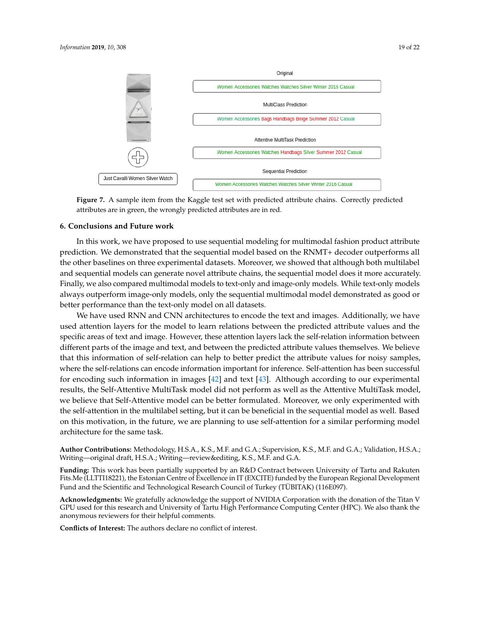<span id="page-18-0"></span>

**Figure 7.** A sample item from the Kaggle test set with predicted attribute chains. Correctly predicted attributes are in green, the wrongly predicted attributes are in red.

### **6. Conclusions and Future work**

In this work, we have proposed to use sequential modeling for multimodal fashion product attribute prediction. We demonstrated that the sequential model based on the RNMT+ decoder outperforms all the other baselines on three experimental datasets. Moreover, we showed that although both multilabel and sequential models can generate novel attribute chains, the sequential model does it more accurately. Finally, we also compared multimodal models to text-only and image-only models. While text-only models always outperform image-only models, only the sequential multimodal model demonstrated as good or better performance than the text-only model on all datasets.

We have used RNN and CNN architectures to encode the text and images. Additionally, we have used attention layers for the model to learn relations between the predicted attribute values and the specific areas of text and image. However, these attention layers lack the self-relation information between different parts of the image and text, and between the predicted attribute values themselves. We believe that this information of self-relation can help to better predict the attribute values for noisy samples, where the self-relations can encode information important for inference. Self-attention has been successful for encoding such information in images [\[42\]](#page-21-3) and text [\[43\]](#page-21-4). Although according to our experimental results, the Self-Attentive MultiTask model did not perform as well as the Attentive MultiTask model, we believe that Self-Attentive model can be better formulated. Moreover, we only experimented with the self-attention in the multilabel setting, but it can be beneficial in the sequential model as well. Based on this motivation, in the future, we are planning to use self-attention for a similar performing model architecture for the same task.

**Author Contributions:** Methodology, H.S.A., K.S., M.F. and G.A.; Supervision, K.S., M.F. and G.A.; Validation, H.S.A.; Writing—original draft, H.S.A.; Writing—review&editing, K.S., M.F. and G.A.

**Funding:** This work has been partially supported by an R&D Contract between University of Tartu and Rakuten Fits.Me (LLTTI18221), the Estonian Centre of Excellence in IT (EXCITE) funded by the European Regional Development Fund and the Scientific and Technological Research Council of Turkey (TÜBITAK) (116E097).

**Acknowledgments:** We gratefully acknowledge the support of NVIDIA Corporation with the donation of the Titan V GPU used for this research and University of Tartu High Performance Computing Center (HPC). We also thank the anonymous reviewers for their helpful comments.

**Conflicts of Interest:** The authors declare no conflict of interest.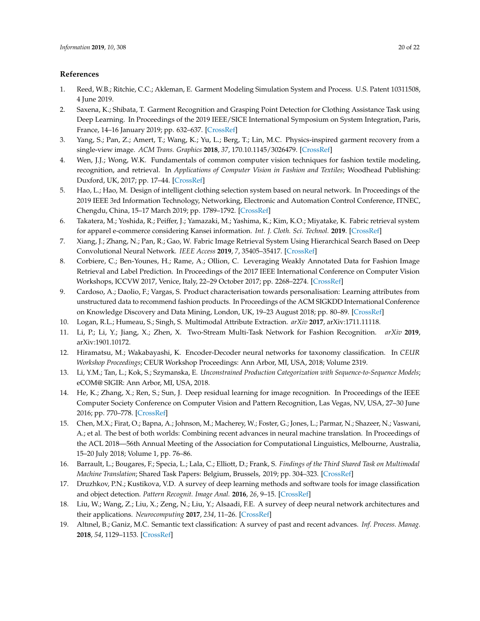### **References**

- <span id="page-19-0"></span>1. Reed, W.B.; Ritchie, C.C.; Akleman, E. Garment Modeling Simulation System and Process. U.S. Patent 10311508, 4 June 2019.
- <span id="page-19-1"></span>2. Saxena, K.; Shibata, T. Garment Recognition and Grasping Point Detection for Clothing Assistance Task using Deep Learning. In Proceedings of the 2019 IEEE/SICE International Symposium on System Integration, Paris, France, 14–16 January 2019; pp. 632–637. [\[CrossRef\]](http://dx.doi.org/10.1109/SII.2019.8700343)
- <span id="page-19-2"></span>3. Yang, S.; Pan, Z.; Amert, T.; Wang, K.; Yu, L.; Berg, T.; Lin, M.C. Physics-inspired garment recovery from a single-view image. *ACM Trans. Graphics* **2018**, *37*, 170[.10.1145/3026479.](https://doi.org/10.1145/3026479) [\[CrossRef\]](http://dx.doi.org/10.1145/3026479)
- <span id="page-19-3"></span>4. Wen, J.J.; Wong, W.K. Fundamentals of common computer vision techniques for fashion textile modeling, recognition, and retrieval. In *Applications of Computer Vision in Fashion and Textiles*; Woodhead Publishing: Duxford, UK, 2017; pp. 17–44. [\[CrossRef\]](http://dx.doi.org/10.1016/B978-0-08-101217-8.00002-6)
- <span id="page-19-4"></span>5. Hao, L.; Hao, M. Design of intelligent clothing selection system based on neural network. In Proceedings of the 2019 IEEE 3rd Information Technology, Networking, Electronic and Automation Control Conference, ITNEC, Chengdu, China, 15–17 March 2019; pp. 1789–1792. [\[CrossRef\]](http://dx.doi.org/10.1109/ITNEC.2019.8729417)
- <span id="page-19-5"></span>6. Takatera, M.; Yoshida, R.; Peiffer, J.; Yamazaki, M.; Yashima, K.; Kim, K.O.; Miyatake, K. Fabric retrieval system for apparel e-commerce considering Kansei information. *Int. J. Cloth. Sci. Technol.* **2019**. [\[CrossRef\]](http://dx.doi.org/10.1108/IJCST-03-2018-0035)
- 7. Xiang, J.; Zhang, N.; Pan, R.; Gao, W. Fabric Image Retrieval System Using Hierarchical Search Based on Deep Convolutional Neural Network. *IEEE Access* **2019**, *7*, 35405–35417. [\[CrossRef\]](http://dx.doi.org/10.1109/ACCESS.2019.2898906)
- <span id="page-19-6"></span>8. Corbiere, C.; Ben-Younes, H.; Rame, A.; Ollion, C. Leveraging Weakly Annotated Data for Fashion Image Retrieval and Label Prediction. In Proceedings of the 2017 IEEE International Conference on Computer Vision Workshops, ICCVW 2017, Venice, Italy, 22–29 October 2017; pp. 2268–2274. [\[CrossRef\]](http://dx.doi.org/10.1109/ICCVW.2017.266)
- <span id="page-19-7"></span>9. Cardoso, A.; Daolio, F.; Vargas, S. Product characterisation towards personalisation: Learning attributes from unstructured data to recommend fashion products. In Proceedings of the ACM SIGKDD International Conference on Knowledge Discovery and Data Mining, London, UK, 19–23 August 2018; pp. 80–89. [\[CrossRef\]](http://dx.doi.org/10.1145/3219819.3219888)
- <span id="page-19-15"></span>10. Logan, R.L.; Humeau, S.; Singh, S. Multimodal Attribute Extraction. *arXiv* **2017**, arXiv:1711.11118.
- <span id="page-19-8"></span>11. Li, P.; Li, Y.; Jiang, X.; Zhen, X. Two-Stream Multi-Task Network for Fashion Recognition. *arXiv* **2019**, arXiv:1901.10172.
- <span id="page-19-9"></span>12. Hiramatsu, M.; Wakabayashi, K. Encoder-Decoder neural networks for taxonomy classification. In *CEUR Workshop Proceedings*; CEUR Workshop Proceedings: Ann Arbor, MI, USA, 2018; Volume 2319.
- <span id="page-19-10"></span>13. Li, Y.M.; Tan, L.; Kok, S.; Szymanska, E. *Unconstrained Production Categorization with Sequence-to-Sequence Models*; eCOM@ SIGIR: Ann Arbor, MI, USA, 2018.
- <span id="page-19-11"></span>14. He, K.; Zhang, X.; Ren, S.; Sun, J. Deep residual learning for image recognition. In Proceedings of the IEEE Computer Society Conference on Computer Vision and Pattern Recognition, Las Vegas, NV, USA, 27–30 June 2016; pp. 770–778. [\[CrossRef\]](http://dx.doi.org/10.1109/CVPR.2016.90)
- <span id="page-19-12"></span>15. Chen, M.X.; Firat, O.; Bapna, A.; Johnson, M.; Macherey, W.; Foster, G.; Jones, L.; Parmar, N.; Shazeer, N.; Vaswani, A.; et al. The best of both worlds: Combining recent advances in neural machine translation. In Proceedings of the ACL 2018—56th Annual Meeting of the Association for Computational Linguistics, Melbourne, Australia, 15–20 July 2018; Volume 1, pp. 76–86.
- <span id="page-19-13"></span>16. Barrault, L.; Bougares, F.; Specia, L.; Lala, C.; Elliott, D.; Frank, S. *Findings of the Third Shared Task on Multimodal Machine Translation*; Shared Task Papers: Belgium, Brussels, 2019; pp. 304–323. [\[CrossRef\]](http://dx.doi.org/10.18653/v1/w18-6402)
- 17. Druzhkov, P.N.; Kustikova, V.D. A survey of deep learning methods and software tools for image classification and object detection. *Pattern Recognit. Image Anal.* **2016**, *26*, 9–15. [\[CrossRef\]](http://dx.doi.org/10.1134/S1054661816010065)
- 18. Liu, W.; Wang, Z.; Liu, X.; Zeng, N.; Liu, Y.; Alsaadi, F.E. A survey of deep neural network architectures and their applications. *Neurocomputing* **2017**, *234*, 11–26. [\[CrossRef\]](http://dx.doi.org/10.1016/j.neucom.2016.12.038)
- <span id="page-19-14"></span>19. Altınel, B.; Ganiz, M.C. Semantic text classification: A survey of past and recent advances. *Inf. Process. Manag.* **2018**, *54*, 1129–1153. [\[CrossRef\]](http://dx.doi.org/10.1016/j.ipm.2018.08.001)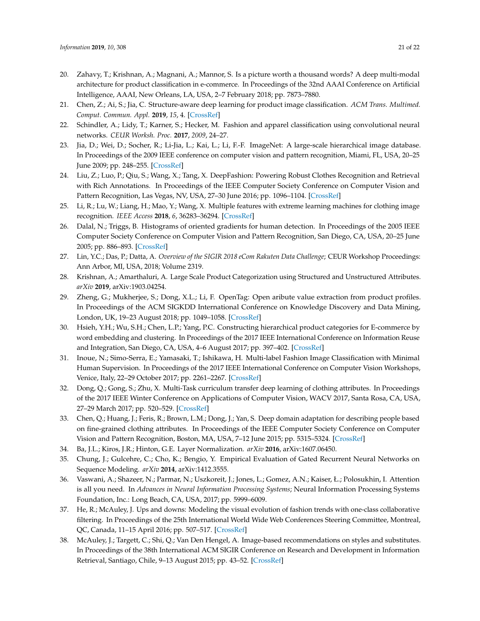- <span id="page-20-0"></span>20. Zahavy, T.; Krishnan, A.; Magnani, A.; Mannor, S. Is a picture worth a thousand words? A deep multi-modal architecture for product classification in e-commerce. In Proceedings of the 32nd AAAI Conference on Artificial Intelligence, AAAI, New Orleans, LA, USA, 2–7 February 2018; pp. 7873–7880.
- <span id="page-20-1"></span>21. Chen, Z.; Ai, S.; Jia, C. Structure-aware deep learning for product image classification. *ACM Trans. Multimed. Comput. Commun. Appl.* **2019**, *15*, 4. [\[CrossRef\]](http://dx.doi.org/10.1145/3231742)
- <span id="page-20-2"></span>22. Schindler, A.; Lidy, T.; Karner, S.; Hecker, M. Fashion and apparel classification using convolutional neural networks. *CEUR Worksh. Proc.* **2017**, *2009*, 24–27.
- <span id="page-20-3"></span>23. Jia, D.; Wei, D.; Socher, R.; Li-Jia, L.; Kai, L.; Li, F.-F. ImageNet: A large-scale hierarchical image database. In Proceedings of the 2009 IEEE conference on computer vision and pattern recognition, Miami, FL, USA, 20–25 June 2009; pp. 248–255. [\[CrossRef\]](http://dx.doi.org/10.1109/cvprw.2009.5206848)
- <span id="page-20-4"></span>24. Liu, Z.; Luo, P.; Qiu, S.; Wang, X.; Tang, X. DeepFashion: Powering Robust Clothes Recognition and Retrieval with Rich Annotations. In Proceedings of the IEEE Computer Society Conference on Computer Vision and Pattern Recognition, Las Vegas, NV, USA, 27–30 June 2016; pp. 1096–1104. [\[CrossRef\]](http://dx.doi.org/10.1109/CVPR.2016.124)
- <span id="page-20-5"></span>25. Li, R.; Lu, W.; Liang, H.; Mao, Y.; Wang, X. Multiple features with extreme learning machines for clothing image recognition. *IEEE Access* **2018**, *6*, 36283–36294. [\[CrossRef\]](http://dx.doi.org/10.1109/ACCESS.2018.2848966)
- <span id="page-20-6"></span>26. Dalal, N.; Triggs, B. Histograms of oriented gradients for human detection. In Proceedings of the 2005 IEEE Computer Society Conference on Computer Vision and Pattern Recognition, San Diego, CA, USA, 20–25 June 2005; pp. 886–893. [\[CrossRef\]](http://dx.doi.org/10.1109/CVPR.2005.177)
- <span id="page-20-7"></span>27. Lin, Y.C.; Das, P.; Datta, A. *Overview of the SIGIR 2018 eCom Rakuten Data Challenge*; CEUR Workshop Proceedings: Ann Arbor, MI, USA, 2018; Volume 2319.
- <span id="page-20-8"></span>28. Krishnan, A.; Amarthaluri, A. Large Scale Product Categorization using Structured and Unstructured Attributes. *arXiv* **2019**, arXiv:1903.04254.
- <span id="page-20-9"></span>29. Zheng, G.; Mukherjee, S.; Dong, X.L.; Li, F. OpenTag: Open aribute value extraction from product profiles. In Proceedings of the ACM SIGKDD International Conference on Knowledge Discovery and Data Mining, London, UK, 19–23 August 2018; pp. 1049–1058. [\[CrossRef\]](http://dx.doi.org/10.1145/3219819.3219839)
- <span id="page-20-10"></span>30. Hsieh, Y.H.; Wu, S.H.; Chen, L.P.; Yang, P.C. Constructing hierarchical product categories for E-commerce by word embedding and clustering. In Proceedings of the 2017 IEEE International Conference on Information Reuse and Integration, San Diego, CA, USA, 4–6 August 2017; pp. 397–402. [\[CrossRef\]](http://dx.doi.org/10.1109/IRI.2017.81)
- <span id="page-20-11"></span>31. Inoue, N.; Simo-Serra, E.; Yamasaki, T.; Ishikawa, H. Multi-label Fashion Image Classification with Minimal Human Supervision. In Proceedings of the 2017 IEEE International Conference on Computer Vision Workshops, Venice, Italy, 22–29 October 2017; pp. 2261–2267. [\[CrossRef\]](http://dx.doi.org/10.1109/ICCVW.2017.265)
- <span id="page-20-12"></span>32. Dong, Q.; Gong, S.; Zhu, X. Multi-Task curriculum transfer deep learning of clothing attributes. In Proceedings of the 2017 IEEE Winter Conference on Applications of Computer Vision, WACV 2017, Santa Rosa, CA, USA, 27–29 March 2017; pp. 520–529. [\[CrossRef\]](http://dx.doi.org/10.1109/WACV.2017.64)
- <span id="page-20-13"></span>33. Chen, Q.; Huang, J.; Feris, R.; Brown, L.M.; Dong, J.; Yan, S. Deep domain adaptation for describing people based on fine-grained clothing attributes. In Proceedings of the IEEE Computer Society Conference on Computer Vision and Pattern Recognition, Boston, MA, USA, 7–12 June 2015; pp. 5315–5324. [\[CrossRef\]](http://dx.doi.org/10.1109/CVPR.2015.7299169)
- <span id="page-20-14"></span>34. Ba, J.L.; Kiros, J.R.; Hinton, G.E. Layer Normalization. *arXiv* **2016**, arXiv:1607.06450.
- <span id="page-20-15"></span>35. Chung, J.; Gulcehre, C.; Cho, K.; Bengio, Y. Empirical Evaluation of Gated Recurrent Neural Networks on Sequence Modeling. *arXiv* **2014**, arXiv:1412.3555.
- <span id="page-20-16"></span>36. Vaswani, A.; Shazeer, N.; Parmar, N.; Uszkoreit, J.; Jones, L.; Gomez, A.N.; Kaiser, Ł.; Polosukhin, I. Attention is all you need. In *Advances in Neural Information Processing Systems*; Neural Information Processing Systems Foundation, Inc.: Long Beach, CA, USA, 2017; pp. 5999–6009.
- <span id="page-20-17"></span>37. He, R.; McAuley, J. Ups and downs: Modeling the visual evolution of fashion trends with one-class collaborative filtering. In Proceedings of the 25th International World Wide Web Conferences Steering Committee, Montreal, QC, Canada, 11–15 April 2016; pp. 507–517. [\[CrossRef\]](http://dx.doi.org/10.1145/2872427.2883037)
- <span id="page-20-18"></span>38. McAuley, J.; Targett, C.; Shi, Q.; Van Den Hengel, A. Image-based recommendations on styles and substitutes. In Proceedings of the 38th International ACM SIGIR Conference on Research and Development in Information Retrieval, Santiago, Chile, 9–13 August 2015; pp. 43–52. [\[CrossRef\]](http://dx.doi.org/10.1145/2766462.2767755)